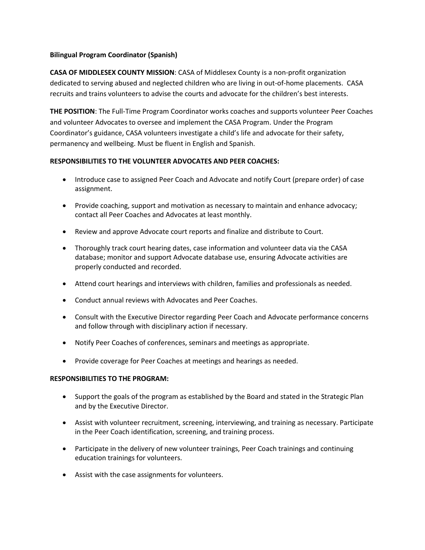## **Bilingual Program Coordinator (Spanish)**

**CASA OF MIDDLESEX COUNTY MISSION**: CASA of Middlesex County is a non-profit organization dedicated to serving abused and neglected children who are living in out-of-home placements. CASA recruits and trains volunteers to advise the courts and advocate for the children's best interests.

**THE POSITION**: The Full-Time Program Coordinator works coaches and supports volunteer Peer Coaches and volunteer Advocates to oversee and implement the CASA Program. Under the Program Coordinator's guidance, CASA volunteers investigate a child's life and advocate for their safety, permanency and wellbeing. Must be fluent in English and Spanish.

## **RESPONSIBILITIES TO THE VOLUNTEER ADVOCATES AND PEER COACHES:**

- Introduce case to assigned Peer Coach and Advocate and notify Court (prepare order) of case assignment.
- Provide coaching, support and motivation as necessary to maintain and enhance advocacy; contact all Peer Coaches and Advocates at least monthly.
- Review and approve Advocate court reports and finalize and distribute to Court.
- Thoroughly track court hearing dates, case information and volunteer data via the CASA database; monitor and support Advocate database use, ensuring Advocate activities are properly conducted and recorded.
- Attend court hearings and interviews with children, families and professionals as needed.
- Conduct annual reviews with Advocates and Peer Coaches.
- Consult with the Executive Director regarding Peer Coach and Advocate performance concerns and follow through with disciplinary action if necessary.
- Notify Peer Coaches of conferences, seminars and meetings as appropriate.
- Provide coverage for Peer Coaches at meetings and hearings as needed.

## **RESPONSIBILITIES TO THE PROGRAM:**

- Support the goals of the program as established by the Board and stated in the Strategic Plan and by the Executive Director.
- Assist with volunteer recruitment, screening, interviewing, and training as necessary. Participate in the Peer Coach identification, screening, and training process.
- Participate in the delivery of new volunteer trainings, Peer Coach trainings and continuing education trainings for volunteers.
- Assist with the case assignments for volunteers.